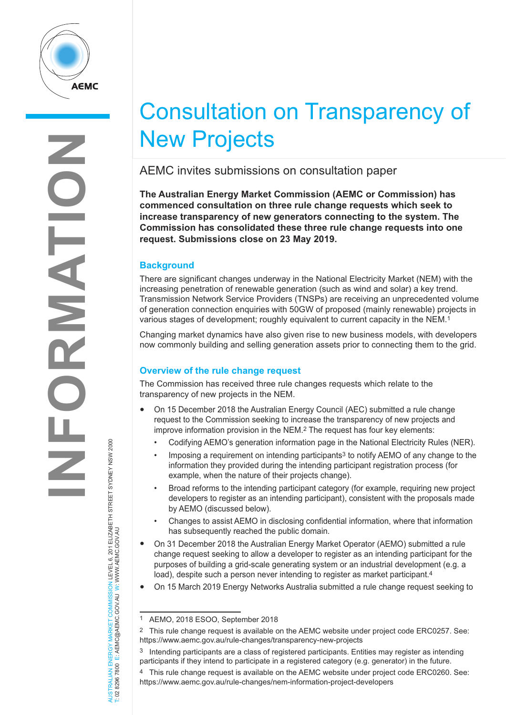

# Consultation on Transparency of New Projects

AEMC invites submissions on consultation paper

**The Australian Energy Market Commission (AEMC or Commission) has commenced consultation on three rule change requests which seek to increase transparency of new generators connecting to the system. The Commission has consolidated these three rule change requests into one request. Submissions close on 23 May 2019.**

## **Background**

There are significant changes underway in the National Electricity Market (NEM) with the increasing penetration of renewable generation (such as wind and solar) a key trend. Transmission Network Service Providers (TNSPs) are receiving an unprecedented volume of generation connection enquiries with 50GW of proposed (mainly renewable) projects in various stages of development; roughly equivalent to current capacity in the NEM.1

Changing market dynamics have also given rise to new business models, with developers now commonly building and selling generation assets prior to connecting them to the grid.

### **Overview of the rule change request**

The Commission has received three rule changes requests which relate to the transparency of new projects in the NEM.

- On 15 December 2018 the Australian Energy Council (AEC) submitted a rule change request to the Commission seeking to increase the transparency of new projects and improve information provision in the NEM.2 The request has four key elements:
	- Codifying AEMO's generation information page in the National Electricity Rules (NER).
	- Imposing a requirement on intending participants<sup>3</sup> to notify AEMO of any change to the information they provided during the intending participant registration process (for example, when the nature of their projects change).
	- Broad reforms to the intending participant category (for example, requiring new project developers to register as an intending participant), consistent with the proposals made by AEMO (discussed below).
	- Changes to assist AEMO in disclosing confidential information, where that information has subsequently reached the public domain.
- On 31 December 2018 the Australian Energy Market Operator (AEMO) submitted a rule change request seeking to allow a developer to register as an intending participant for the purposes of building a grid-scale generating system or an industrial development (e.g. a load), despite such a person never intending to register as market participant.<sup>4</sup>
- On 15 March 2019 Energy Networks Australia submitted a rule change request seeking to

AUSTRALIAN ENERGY MARKET COMMISSION LEVEL 6, 201 ELIZABETH STREET SYDNEY NSW 2000<br>T: 02 8296 7800 E: AEMC@AEMC.GOV.AU W: WWW.AEMC.GOV.AU AUSTRALIAN ENERGY MARKET COMMISSION LEVEL 6, 201 ELIZABETH STREET SYDNEY NSW 2000 T: 02 8296 7800 E: AEMC@AEMC.GOV.AU W: WWW.AEMC.GOV.AU

<sup>1</sup> AEMO, 2018 ESOO, September 2018

<sup>2</sup> This rule change request is available on the AEMC website under project code ERC0257. See: https://www.aemc.gov.au/rule-changes/transparency-new-projects

<sup>3</sup> Intending participants are a class of registered participants. Entities may register as intending participants if they intend to participate in a registered category (e.g. generator) in the future.

<sup>4</sup> This rule change request is available on the AEMC website under project code ERC0260. See: https://www.aemc.gov.au/rule-changes/nem-information-project-developers